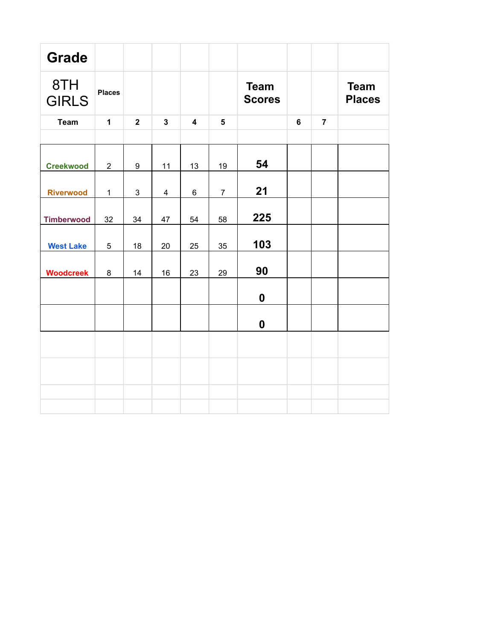| <b>Grade</b>        |                |                |                |                         |                |                              |                |                |                              |
|---------------------|----------------|----------------|----------------|-------------------------|----------------|------------------------------|----------------|----------------|------------------------------|
| 8TH<br><b>GIRLS</b> | <b>Places</b>  |                |                |                         |                | <b>Team</b><br><b>Scores</b> |                |                | <b>Team</b><br><b>Places</b> |
| <b>Team</b>         | $\mathbf{1}$   | $\overline{2}$ | $\mathbf{3}$   | $\overline{\mathbf{4}}$ | $5\phantom{1}$ |                              | $6\phantom{a}$ | $\overline{7}$ |                              |
|                     |                |                |                |                         |                |                              |                |                |                              |
| <b>Creekwood</b>    | $\overline{2}$ | 9              | 11             | 13                      | 19             | 54                           |                |                |                              |
| <b>Riverwood</b>    | $\mathbf{1}$   | $\mathbf{3}$   | $\overline{4}$ | 6                       | $\overline{7}$ | 21                           |                |                |                              |
| <b>Timberwood</b>   | 32             | 34             | 47             | 54                      | 58             | 225                          |                |                |                              |
| <b>West Lake</b>    | 5              | 18             | 20             | 25                      | 35             | 103                          |                |                |                              |
| <b>Woodcreek</b>    | 8              | 14             | 16             | 23                      | 29             | 90                           |                |                |                              |
|                     |                |                |                |                         |                | $\boldsymbol{0}$             |                |                |                              |
|                     |                |                |                |                         |                | $\boldsymbol{0}$             |                |                |                              |
|                     |                |                |                |                         |                |                              |                |                |                              |
|                     |                |                |                |                         |                |                              |                |                |                              |
|                     |                |                |                |                         |                |                              |                |                |                              |
|                     |                |                |                |                         |                |                              |                |                |                              |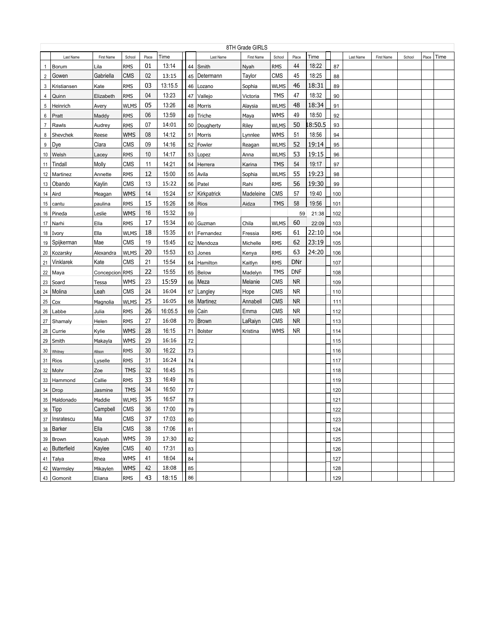| Time<br>Time<br>Time<br>Last Name<br>First Name<br>School<br>Place<br>Last Name<br>First Name<br>School<br>Place<br>Last Name<br>School<br>Place<br>First Name<br>44<br>18:22<br>01<br>13:14<br><b>RMS</b><br>44<br><b>RMS</b><br>87<br>$\mathbf{1}$<br>Borum<br>Lila<br>Smith<br>Nyah<br><b>CMS</b><br>18:25<br>Gabriella<br>02<br>Determann<br>Taylor<br>CMS<br>45<br>Gowen<br>13:15<br>$\overline{2}$<br>45<br>88<br>03<br>13:15.5<br>18:31<br>46<br><b>RMS</b><br><b>WLMS</b><br>89<br>3<br>Kristiansen<br>Kate<br>46<br>Lozano<br>Sophia<br>13:23<br>18:32<br>04<br><b>TMS</b><br>47<br>Elizabeth<br><b>RMS</b><br>47<br>90<br>Vallejo<br>Victoria<br>4<br>Quinn<br>05<br>13:26<br>48<br>18:34<br><b>WLMS</b><br>Morris<br><b>WLMS</b><br>91<br>5<br>Heinrich<br>Avery<br>48<br>Alaysia<br>13:59<br>49<br>18:50<br>06<br>WMS<br>Maddy<br><b>RMS</b><br>Triche<br>Maya<br>92<br>6<br>Pratt<br>49<br>50<br>.8:50.5<br>07<br>14:01<br>$\overline{7}$<br>Audrey<br><b>RMS</b><br>50<br>Dougherty<br>Riley<br><b>WLMS</b><br>93<br>Rawls<br>51<br>18:56<br>08<br>14:12<br><b>WMS</b><br>WMS<br>Reese<br>51<br>Morris<br>Lynnlee<br>94<br>8<br>Shevchek<br>Clara<br><b>CMS</b><br>09<br>14:16<br>52<br>19:14<br>Dye<br><b>WLMS</b><br>9<br>52<br>Reagan<br>95<br>Fowler<br>53<br>19:15<br>10<br>14:17<br>53<br><b>WLMS</b><br>96<br>10<br>Welsh<br><b>RMS</b><br>Anna<br>Lacey<br>Lopez<br>14:21<br>54<br>Molly<br><b>CMS</b><br>11<br><b>TMS</b><br>19:17<br>Tindall<br>54<br>97<br>Karina<br>11<br>Herrera<br>55<br>19:23<br>12<br>15:00<br><b>WLMS</b><br><b>RMS</b><br>55<br>Avila<br>Sophia<br>98<br>Annette<br>12<br>Martinez<br>15:22<br>56<br>19:30<br><b>CMS</b><br>13<br><b>RMS</b><br>Obando<br>Kaylin<br>Patel<br>Rahi<br>99<br>56<br>13<br>15:24<br><b>CMS</b><br>19:40<br><b>WMS</b><br>14<br>Kirkpatrick<br>Madeleine<br>57<br>Meagan<br>57<br>100<br>14<br>Aird<br>15<br>15:26<br>58<br>19:56<br><b>TMS</b><br><b>RMS</b><br>58<br>Rios<br>Aidza<br>101<br>15<br>paulina<br>cantu<br>16<br>15:32<br><b>WMS</b><br>59<br>21:38<br>102<br>Leslie<br>59<br>16<br>Pineda<br>17<br>15:34<br>60<br>22:09<br>Ella<br><b>RMS</b><br>Chila<br><b>WLMS</b><br>103<br>17<br>60<br>Guzman<br>Narhi<br>15:35<br>61<br>22:10<br>18<br>Ella<br><b>RMS</b><br><b>WLMS</b><br>Fressia<br>104<br>18<br>61<br>Fernandez<br>Ivory<br><b>CMS</b><br>19<br>Mae<br>15:45<br>62<br>23:19<br><b>RMS</b><br>Spijkerman<br>Michelle<br>105<br>62<br>Mendoza<br>19<br>63<br>24:20<br>20<br>15:53<br><b>WLMS</b><br>63<br><b>RMS</b><br>106<br>20<br>Jones<br>Kenya<br>Kozarsky<br>Alexandra<br>21<br>Kate<br><b>CMS</b><br>15:54<br>DNr<br>Vinklarek<br><b>RMS</b><br>21<br>64<br>Hamilton<br>Kaitlyn<br>107<br>22<br>15:55<br>DNF<br>Concepcion RMS<br><b>TMS</b><br>22<br>65<br>Below<br>108<br>Maya<br>Madelyn<br>15:59<br>CMS<br><b>NR</b><br><b>WMS</b><br>23<br>Meza<br>Melanie<br>23<br>66<br>109<br>Soard<br>Tessa<br>CMS<br><b>NR</b><br>Leah<br><b>CMS</b><br>24<br>16:04<br>Hope<br>Molina<br>Langley<br>24<br>67<br>110<br><b>CMS</b><br>25<br><b>NR</b><br>16:05<br>Martinez<br>Annabell<br>25<br><b>WLMS</b><br>68<br>Magnolia<br>111<br>Cox<br>Cain<br>CMS<br><b>NR</b><br><b>RMS</b><br>26<br>16:05.5<br>Emma<br>69<br>26<br>Julia<br>112<br>Labbe<br>27<br>CMS<br><b>NR</b><br>16:08<br><b>Brown</b><br>LaRaiyn<br><b>RMS</b><br>70<br>27<br>Shamaly<br>Helen<br>113<br>28<br>16:15<br><b>NR</b><br><b>WMS</b><br>WMS<br><b>Bolster</b><br>28<br>Currie<br>Kylie<br>71<br>Kristina<br>114<br>29<br>WMS<br>16:16<br>72<br>29<br>Smith<br>Makayla<br>115<br>16:22<br>30<br><b>RMS</b><br>73<br>30<br>116<br>Whitney<br>Allison<br>31<br>16:24<br>31<br><b>RMS</b><br>74<br>Rios<br>Lyselle<br>117<br>32<br>16:45<br><b>TMS</b><br>75<br>32<br>Mohr<br>Zoe<br>118<br>33<br>16:49<br>76<br>33 Hammond<br>Callie<br><b>RMS</b><br>119<br>34<br>16:50<br><b>TMS</b><br>77<br>34<br>Drop<br>120<br>Jasmine<br>35<br>16:57<br>35 Maldonado<br>Maddie<br><b>WLMS</b><br>78<br>121<br>36<br>17:00<br>36 Tipp<br>Campbell<br><b>CMS</b><br>79<br>122<br><b>CMS</b><br>17:03<br>37 Insratescu<br>Mia<br>37<br>80<br>123<br>38 Barker<br>Ella<br><b>CMS</b><br>38<br>17:06<br>124<br>81<br><b>WMS</b><br>39<br>17:30<br>39 Brown<br>82<br>125<br>Kaiyah<br>40 Butterfield<br><b>CMS</b><br>17:31<br>40<br>Kaylee<br>83<br>126<br>41 Talya<br>18:04<br><b>WMS</b><br>41<br>Rhea<br>84<br>127<br>42<br>42 Warmsley<br>18:08<br><b>WMS</b><br>Mikaylen<br>85<br>128 |  |            |        |            |    |       |    | 8TH Grade GIRLS |  |  |     |  |  |  |
|---------------------------------------------------------------------------------------------------------------------------------------------------------------------------------------------------------------------------------------------------------------------------------------------------------------------------------------------------------------------------------------------------------------------------------------------------------------------------------------------------------------------------------------------------------------------------------------------------------------------------------------------------------------------------------------------------------------------------------------------------------------------------------------------------------------------------------------------------------------------------------------------------------------------------------------------------------------------------------------------------------------------------------------------------------------------------------------------------------------------------------------------------------------------------------------------------------------------------------------------------------------------------------------------------------------------------------------------------------------------------------------------------------------------------------------------------------------------------------------------------------------------------------------------------------------------------------------------------------------------------------------------------------------------------------------------------------------------------------------------------------------------------------------------------------------------------------------------------------------------------------------------------------------------------------------------------------------------------------------------------------------------------------------------------------------------------------------------------------------------------------------------------------------------------------------------------------------------------------------------------------------------------------------------------------------------------------------------------------------------------------------------------------------------------------------------------------------------------------------------------------------------------------------------------------------------------------------------------------------------------------------------------------------------------------------------------------------------------------------------------------------------------------------------------------------------------------------------------------------------------------------------------------------------------------------------------------------------------------------------------------------------------------------------------------------------------------------------------------------------------------------------------------------------------------------------------------------------------------------------------------------------------------------------------------------------------------------------------------------------------------------------------------------------------------------------------------------------------------------------------------------------------------------------------------------------------------------------------------------------------------------------------------------------------------------------------------------------------------------------------------------------------------------------------------------------------------------------------------------------------------------------------------------------------------------------------------------------------------------------------------------------------------------------------------------------------------------------------------------------------------------------------------------------------------------------------------------------------------------------------------------------------------------------------------------------------------------------------------------------------------------------------------------------------------------------------------|--|------------|--------|------------|----|-------|----|-----------------|--|--|-----|--|--|--|
|                                                                                                                                                                                                                                                                                                                                                                                                                                                                                                                                                                                                                                                                                                                                                                                                                                                                                                                                                                                                                                                                                                                                                                                                                                                                                                                                                                                                                                                                                                                                                                                                                                                                                                                                                                                                                                                                                                                                                                                                                                                                                                                                                                                                                                                                                                                                                                                                                                                                                                                                                                                                                                                                                                                                                                                                                                                                                                                                                                                                                                                                                                                                                                                                                                                                                                                                                                                                                                                                                                                                                                                                                                                                                                                                                                                                                                                                                                                                                                                                                                                                                                                                                                                                                                                                                                                                                                                                                                                         |  |            |        |            |    |       |    |                 |  |  |     |  |  |  |
|                                                                                                                                                                                                                                                                                                                                                                                                                                                                                                                                                                                                                                                                                                                                                                                                                                                                                                                                                                                                                                                                                                                                                                                                                                                                                                                                                                                                                                                                                                                                                                                                                                                                                                                                                                                                                                                                                                                                                                                                                                                                                                                                                                                                                                                                                                                                                                                                                                                                                                                                                                                                                                                                                                                                                                                                                                                                                                                                                                                                                                                                                                                                                                                                                                                                                                                                                                                                                                                                                                                                                                                                                                                                                                                                                                                                                                                                                                                                                                                                                                                                                                                                                                                                                                                                                                                                                                                                                                                         |  |            |        |            |    |       |    |                 |  |  |     |  |  |  |
|                                                                                                                                                                                                                                                                                                                                                                                                                                                                                                                                                                                                                                                                                                                                                                                                                                                                                                                                                                                                                                                                                                                                                                                                                                                                                                                                                                                                                                                                                                                                                                                                                                                                                                                                                                                                                                                                                                                                                                                                                                                                                                                                                                                                                                                                                                                                                                                                                                                                                                                                                                                                                                                                                                                                                                                                                                                                                                                                                                                                                                                                                                                                                                                                                                                                                                                                                                                                                                                                                                                                                                                                                                                                                                                                                                                                                                                                                                                                                                                                                                                                                                                                                                                                                                                                                                                                                                                                                                                         |  |            |        |            |    |       |    |                 |  |  |     |  |  |  |
|                                                                                                                                                                                                                                                                                                                                                                                                                                                                                                                                                                                                                                                                                                                                                                                                                                                                                                                                                                                                                                                                                                                                                                                                                                                                                                                                                                                                                                                                                                                                                                                                                                                                                                                                                                                                                                                                                                                                                                                                                                                                                                                                                                                                                                                                                                                                                                                                                                                                                                                                                                                                                                                                                                                                                                                                                                                                                                                                                                                                                                                                                                                                                                                                                                                                                                                                                                                                                                                                                                                                                                                                                                                                                                                                                                                                                                                                                                                                                                                                                                                                                                                                                                                                                                                                                                                                                                                                                                                         |  |            |        |            |    |       |    |                 |  |  |     |  |  |  |
|                                                                                                                                                                                                                                                                                                                                                                                                                                                                                                                                                                                                                                                                                                                                                                                                                                                                                                                                                                                                                                                                                                                                                                                                                                                                                                                                                                                                                                                                                                                                                                                                                                                                                                                                                                                                                                                                                                                                                                                                                                                                                                                                                                                                                                                                                                                                                                                                                                                                                                                                                                                                                                                                                                                                                                                                                                                                                                                                                                                                                                                                                                                                                                                                                                                                                                                                                                                                                                                                                                                                                                                                                                                                                                                                                                                                                                                                                                                                                                                                                                                                                                                                                                                                                                                                                                                                                                                                                                                         |  |            |        |            |    |       |    |                 |  |  |     |  |  |  |
|                                                                                                                                                                                                                                                                                                                                                                                                                                                                                                                                                                                                                                                                                                                                                                                                                                                                                                                                                                                                                                                                                                                                                                                                                                                                                                                                                                                                                                                                                                                                                                                                                                                                                                                                                                                                                                                                                                                                                                                                                                                                                                                                                                                                                                                                                                                                                                                                                                                                                                                                                                                                                                                                                                                                                                                                                                                                                                                                                                                                                                                                                                                                                                                                                                                                                                                                                                                                                                                                                                                                                                                                                                                                                                                                                                                                                                                                                                                                                                                                                                                                                                                                                                                                                                                                                                                                                                                                                                                         |  |            |        |            |    |       |    |                 |  |  |     |  |  |  |
|                                                                                                                                                                                                                                                                                                                                                                                                                                                                                                                                                                                                                                                                                                                                                                                                                                                                                                                                                                                                                                                                                                                                                                                                                                                                                                                                                                                                                                                                                                                                                                                                                                                                                                                                                                                                                                                                                                                                                                                                                                                                                                                                                                                                                                                                                                                                                                                                                                                                                                                                                                                                                                                                                                                                                                                                                                                                                                                                                                                                                                                                                                                                                                                                                                                                                                                                                                                                                                                                                                                                                                                                                                                                                                                                                                                                                                                                                                                                                                                                                                                                                                                                                                                                                                                                                                                                                                                                                                                         |  |            |        |            |    |       |    |                 |  |  |     |  |  |  |
|                                                                                                                                                                                                                                                                                                                                                                                                                                                                                                                                                                                                                                                                                                                                                                                                                                                                                                                                                                                                                                                                                                                                                                                                                                                                                                                                                                                                                                                                                                                                                                                                                                                                                                                                                                                                                                                                                                                                                                                                                                                                                                                                                                                                                                                                                                                                                                                                                                                                                                                                                                                                                                                                                                                                                                                                                                                                                                                                                                                                                                                                                                                                                                                                                                                                                                                                                                                                                                                                                                                                                                                                                                                                                                                                                                                                                                                                                                                                                                                                                                                                                                                                                                                                                                                                                                                                                                                                                                                         |  |            |        |            |    |       |    |                 |  |  |     |  |  |  |
|                                                                                                                                                                                                                                                                                                                                                                                                                                                                                                                                                                                                                                                                                                                                                                                                                                                                                                                                                                                                                                                                                                                                                                                                                                                                                                                                                                                                                                                                                                                                                                                                                                                                                                                                                                                                                                                                                                                                                                                                                                                                                                                                                                                                                                                                                                                                                                                                                                                                                                                                                                                                                                                                                                                                                                                                                                                                                                                                                                                                                                                                                                                                                                                                                                                                                                                                                                                                                                                                                                                                                                                                                                                                                                                                                                                                                                                                                                                                                                                                                                                                                                                                                                                                                                                                                                                                                                                                                                                         |  |            |        |            |    |       |    |                 |  |  |     |  |  |  |
|                                                                                                                                                                                                                                                                                                                                                                                                                                                                                                                                                                                                                                                                                                                                                                                                                                                                                                                                                                                                                                                                                                                                                                                                                                                                                                                                                                                                                                                                                                                                                                                                                                                                                                                                                                                                                                                                                                                                                                                                                                                                                                                                                                                                                                                                                                                                                                                                                                                                                                                                                                                                                                                                                                                                                                                                                                                                                                                                                                                                                                                                                                                                                                                                                                                                                                                                                                                                                                                                                                                                                                                                                                                                                                                                                                                                                                                                                                                                                                                                                                                                                                                                                                                                                                                                                                                                                                                                                                                         |  |            |        |            |    |       |    |                 |  |  |     |  |  |  |
|                                                                                                                                                                                                                                                                                                                                                                                                                                                                                                                                                                                                                                                                                                                                                                                                                                                                                                                                                                                                                                                                                                                                                                                                                                                                                                                                                                                                                                                                                                                                                                                                                                                                                                                                                                                                                                                                                                                                                                                                                                                                                                                                                                                                                                                                                                                                                                                                                                                                                                                                                                                                                                                                                                                                                                                                                                                                                                                                                                                                                                                                                                                                                                                                                                                                                                                                                                                                                                                                                                                                                                                                                                                                                                                                                                                                                                                                                                                                                                                                                                                                                                                                                                                                                                                                                                                                                                                                                                                         |  |            |        |            |    |       |    |                 |  |  |     |  |  |  |
|                                                                                                                                                                                                                                                                                                                                                                                                                                                                                                                                                                                                                                                                                                                                                                                                                                                                                                                                                                                                                                                                                                                                                                                                                                                                                                                                                                                                                                                                                                                                                                                                                                                                                                                                                                                                                                                                                                                                                                                                                                                                                                                                                                                                                                                                                                                                                                                                                                                                                                                                                                                                                                                                                                                                                                                                                                                                                                                                                                                                                                                                                                                                                                                                                                                                                                                                                                                                                                                                                                                                                                                                                                                                                                                                                                                                                                                                                                                                                                                                                                                                                                                                                                                                                                                                                                                                                                                                                                                         |  |            |        |            |    |       |    |                 |  |  |     |  |  |  |
|                                                                                                                                                                                                                                                                                                                                                                                                                                                                                                                                                                                                                                                                                                                                                                                                                                                                                                                                                                                                                                                                                                                                                                                                                                                                                                                                                                                                                                                                                                                                                                                                                                                                                                                                                                                                                                                                                                                                                                                                                                                                                                                                                                                                                                                                                                                                                                                                                                                                                                                                                                                                                                                                                                                                                                                                                                                                                                                                                                                                                                                                                                                                                                                                                                                                                                                                                                                                                                                                                                                                                                                                                                                                                                                                                                                                                                                                                                                                                                                                                                                                                                                                                                                                                                                                                                                                                                                                                                                         |  |            |        |            |    |       |    |                 |  |  |     |  |  |  |
|                                                                                                                                                                                                                                                                                                                                                                                                                                                                                                                                                                                                                                                                                                                                                                                                                                                                                                                                                                                                                                                                                                                                                                                                                                                                                                                                                                                                                                                                                                                                                                                                                                                                                                                                                                                                                                                                                                                                                                                                                                                                                                                                                                                                                                                                                                                                                                                                                                                                                                                                                                                                                                                                                                                                                                                                                                                                                                                                                                                                                                                                                                                                                                                                                                                                                                                                                                                                                                                                                                                                                                                                                                                                                                                                                                                                                                                                                                                                                                                                                                                                                                                                                                                                                                                                                                                                                                                                                                                         |  |            |        |            |    |       |    |                 |  |  |     |  |  |  |
|                                                                                                                                                                                                                                                                                                                                                                                                                                                                                                                                                                                                                                                                                                                                                                                                                                                                                                                                                                                                                                                                                                                                                                                                                                                                                                                                                                                                                                                                                                                                                                                                                                                                                                                                                                                                                                                                                                                                                                                                                                                                                                                                                                                                                                                                                                                                                                                                                                                                                                                                                                                                                                                                                                                                                                                                                                                                                                                                                                                                                                                                                                                                                                                                                                                                                                                                                                                                                                                                                                                                                                                                                                                                                                                                                                                                                                                                                                                                                                                                                                                                                                                                                                                                                                                                                                                                                                                                                                                         |  |            |        |            |    |       |    |                 |  |  |     |  |  |  |
|                                                                                                                                                                                                                                                                                                                                                                                                                                                                                                                                                                                                                                                                                                                                                                                                                                                                                                                                                                                                                                                                                                                                                                                                                                                                                                                                                                                                                                                                                                                                                                                                                                                                                                                                                                                                                                                                                                                                                                                                                                                                                                                                                                                                                                                                                                                                                                                                                                                                                                                                                                                                                                                                                                                                                                                                                                                                                                                                                                                                                                                                                                                                                                                                                                                                                                                                                                                                                                                                                                                                                                                                                                                                                                                                                                                                                                                                                                                                                                                                                                                                                                                                                                                                                                                                                                                                                                                                                                                         |  |            |        |            |    |       |    |                 |  |  |     |  |  |  |
|                                                                                                                                                                                                                                                                                                                                                                                                                                                                                                                                                                                                                                                                                                                                                                                                                                                                                                                                                                                                                                                                                                                                                                                                                                                                                                                                                                                                                                                                                                                                                                                                                                                                                                                                                                                                                                                                                                                                                                                                                                                                                                                                                                                                                                                                                                                                                                                                                                                                                                                                                                                                                                                                                                                                                                                                                                                                                                                                                                                                                                                                                                                                                                                                                                                                                                                                                                                                                                                                                                                                                                                                                                                                                                                                                                                                                                                                                                                                                                                                                                                                                                                                                                                                                                                                                                                                                                                                                                                         |  |            |        |            |    |       |    |                 |  |  |     |  |  |  |
|                                                                                                                                                                                                                                                                                                                                                                                                                                                                                                                                                                                                                                                                                                                                                                                                                                                                                                                                                                                                                                                                                                                                                                                                                                                                                                                                                                                                                                                                                                                                                                                                                                                                                                                                                                                                                                                                                                                                                                                                                                                                                                                                                                                                                                                                                                                                                                                                                                                                                                                                                                                                                                                                                                                                                                                                                                                                                                                                                                                                                                                                                                                                                                                                                                                                                                                                                                                                                                                                                                                                                                                                                                                                                                                                                                                                                                                                                                                                                                                                                                                                                                                                                                                                                                                                                                                                                                                                                                                         |  |            |        |            |    |       |    |                 |  |  |     |  |  |  |
|                                                                                                                                                                                                                                                                                                                                                                                                                                                                                                                                                                                                                                                                                                                                                                                                                                                                                                                                                                                                                                                                                                                                                                                                                                                                                                                                                                                                                                                                                                                                                                                                                                                                                                                                                                                                                                                                                                                                                                                                                                                                                                                                                                                                                                                                                                                                                                                                                                                                                                                                                                                                                                                                                                                                                                                                                                                                                                                                                                                                                                                                                                                                                                                                                                                                                                                                                                                                                                                                                                                                                                                                                                                                                                                                                                                                                                                                                                                                                                                                                                                                                                                                                                                                                                                                                                                                                                                                                                                         |  |            |        |            |    |       |    |                 |  |  |     |  |  |  |
|                                                                                                                                                                                                                                                                                                                                                                                                                                                                                                                                                                                                                                                                                                                                                                                                                                                                                                                                                                                                                                                                                                                                                                                                                                                                                                                                                                                                                                                                                                                                                                                                                                                                                                                                                                                                                                                                                                                                                                                                                                                                                                                                                                                                                                                                                                                                                                                                                                                                                                                                                                                                                                                                                                                                                                                                                                                                                                                                                                                                                                                                                                                                                                                                                                                                                                                                                                                                                                                                                                                                                                                                                                                                                                                                                                                                                                                                                                                                                                                                                                                                                                                                                                                                                                                                                                                                                                                                                                                         |  |            |        |            |    |       |    |                 |  |  |     |  |  |  |
|                                                                                                                                                                                                                                                                                                                                                                                                                                                                                                                                                                                                                                                                                                                                                                                                                                                                                                                                                                                                                                                                                                                                                                                                                                                                                                                                                                                                                                                                                                                                                                                                                                                                                                                                                                                                                                                                                                                                                                                                                                                                                                                                                                                                                                                                                                                                                                                                                                                                                                                                                                                                                                                                                                                                                                                                                                                                                                                                                                                                                                                                                                                                                                                                                                                                                                                                                                                                                                                                                                                                                                                                                                                                                                                                                                                                                                                                                                                                                                                                                                                                                                                                                                                                                                                                                                                                                                                                                                                         |  |            |        |            |    |       |    |                 |  |  |     |  |  |  |
|                                                                                                                                                                                                                                                                                                                                                                                                                                                                                                                                                                                                                                                                                                                                                                                                                                                                                                                                                                                                                                                                                                                                                                                                                                                                                                                                                                                                                                                                                                                                                                                                                                                                                                                                                                                                                                                                                                                                                                                                                                                                                                                                                                                                                                                                                                                                                                                                                                                                                                                                                                                                                                                                                                                                                                                                                                                                                                                                                                                                                                                                                                                                                                                                                                                                                                                                                                                                                                                                                                                                                                                                                                                                                                                                                                                                                                                                                                                                                                                                                                                                                                                                                                                                                                                                                                                                                                                                                                                         |  |            |        |            |    |       |    |                 |  |  |     |  |  |  |
|                                                                                                                                                                                                                                                                                                                                                                                                                                                                                                                                                                                                                                                                                                                                                                                                                                                                                                                                                                                                                                                                                                                                                                                                                                                                                                                                                                                                                                                                                                                                                                                                                                                                                                                                                                                                                                                                                                                                                                                                                                                                                                                                                                                                                                                                                                                                                                                                                                                                                                                                                                                                                                                                                                                                                                                                                                                                                                                                                                                                                                                                                                                                                                                                                                                                                                                                                                                                                                                                                                                                                                                                                                                                                                                                                                                                                                                                                                                                                                                                                                                                                                                                                                                                                                                                                                                                                                                                                                                         |  |            |        |            |    |       |    |                 |  |  |     |  |  |  |
|                                                                                                                                                                                                                                                                                                                                                                                                                                                                                                                                                                                                                                                                                                                                                                                                                                                                                                                                                                                                                                                                                                                                                                                                                                                                                                                                                                                                                                                                                                                                                                                                                                                                                                                                                                                                                                                                                                                                                                                                                                                                                                                                                                                                                                                                                                                                                                                                                                                                                                                                                                                                                                                                                                                                                                                                                                                                                                                                                                                                                                                                                                                                                                                                                                                                                                                                                                                                                                                                                                                                                                                                                                                                                                                                                                                                                                                                                                                                                                                                                                                                                                                                                                                                                                                                                                                                                                                                                                                         |  |            |        |            |    |       |    |                 |  |  |     |  |  |  |
|                                                                                                                                                                                                                                                                                                                                                                                                                                                                                                                                                                                                                                                                                                                                                                                                                                                                                                                                                                                                                                                                                                                                                                                                                                                                                                                                                                                                                                                                                                                                                                                                                                                                                                                                                                                                                                                                                                                                                                                                                                                                                                                                                                                                                                                                                                                                                                                                                                                                                                                                                                                                                                                                                                                                                                                                                                                                                                                                                                                                                                                                                                                                                                                                                                                                                                                                                                                                                                                                                                                                                                                                                                                                                                                                                                                                                                                                                                                                                                                                                                                                                                                                                                                                                                                                                                                                                                                                                                                         |  |            |        |            |    |       |    |                 |  |  |     |  |  |  |
|                                                                                                                                                                                                                                                                                                                                                                                                                                                                                                                                                                                                                                                                                                                                                                                                                                                                                                                                                                                                                                                                                                                                                                                                                                                                                                                                                                                                                                                                                                                                                                                                                                                                                                                                                                                                                                                                                                                                                                                                                                                                                                                                                                                                                                                                                                                                                                                                                                                                                                                                                                                                                                                                                                                                                                                                                                                                                                                                                                                                                                                                                                                                                                                                                                                                                                                                                                                                                                                                                                                                                                                                                                                                                                                                                                                                                                                                                                                                                                                                                                                                                                                                                                                                                                                                                                                                                                                                                                                         |  |            |        |            |    |       |    |                 |  |  |     |  |  |  |
|                                                                                                                                                                                                                                                                                                                                                                                                                                                                                                                                                                                                                                                                                                                                                                                                                                                                                                                                                                                                                                                                                                                                                                                                                                                                                                                                                                                                                                                                                                                                                                                                                                                                                                                                                                                                                                                                                                                                                                                                                                                                                                                                                                                                                                                                                                                                                                                                                                                                                                                                                                                                                                                                                                                                                                                                                                                                                                                                                                                                                                                                                                                                                                                                                                                                                                                                                                                                                                                                                                                                                                                                                                                                                                                                                                                                                                                                                                                                                                                                                                                                                                                                                                                                                                                                                                                                                                                                                                                         |  |            |        |            |    |       |    |                 |  |  |     |  |  |  |
|                                                                                                                                                                                                                                                                                                                                                                                                                                                                                                                                                                                                                                                                                                                                                                                                                                                                                                                                                                                                                                                                                                                                                                                                                                                                                                                                                                                                                                                                                                                                                                                                                                                                                                                                                                                                                                                                                                                                                                                                                                                                                                                                                                                                                                                                                                                                                                                                                                                                                                                                                                                                                                                                                                                                                                                                                                                                                                                                                                                                                                                                                                                                                                                                                                                                                                                                                                                                                                                                                                                                                                                                                                                                                                                                                                                                                                                                                                                                                                                                                                                                                                                                                                                                                                                                                                                                                                                                                                                         |  |            |        |            |    |       |    |                 |  |  |     |  |  |  |
|                                                                                                                                                                                                                                                                                                                                                                                                                                                                                                                                                                                                                                                                                                                                                                                                                                                                                                                                                                                                                                                                                                                                                                                                                                                                                                                                                                                                                                                                                                                                                                                                                                                                                                                                                                                                                                                                                                                                                                                                                                                                                                                                                                                                                                                                                                                                                                                                                                                                                                                                                                                                                                                                                                                                                                                                                                                                                                                                                                                                                                                                                                                                                                                                                                                                                                                                                                                                                                                                                                                                                                                                                                                                                                                                                                                                                                                                                                                                                                                                                                                                                                                                                                                                                                                                                                                                                                                                                                                         |  |            |        |            |    |       |    |                 |  |  |     |  |  |  |
|                                                                                                                                                                                                                                                                                                                                                                                                                                                                                                                                                                                                                                                                                                                                                                                                                                                                                                                                                                                                                                                                                                                                                                                                                                                                                                                                                                                                                                                                                                                                                                                                                                                                                                                                                                                                                                                                                                                                                                                                                                                                                                                                                                                                                                                                                                                                                                                                                                                                                                                                                                                                                                                                                                                                                                                                                                                                                                                                                                                                                                                                                                                                                                                                                                                                                                                                                                                                                                                                                                                                                                                                                                                                                                                                                                                                                                                                                                                                                                                                                                                                                                                                                                                                                                                                                                                                                                                                                                                         |  |            |        |            |    |       |    |                 |  |  |     |  |  |  |
|                                                                                                                                                                                                                                                                                                                                                                                                                                                                                                                                                                                                                                                                                                                                                                                                                                                                                                                                                                                                                                                                                                                                                                                                                                                                                                                                                                                                                                                                                                                                                                                                                                                                                                                                                                                                                                                                                                                                                                                                                                                                                                                                                                                                                                                                                                                                                                                                                                                                                                                                                                                                                                                                                                                                                                                                                                                                                                                                                                                                                                                                                                                                                                                                                                                                                                                                                                                                                                                                                                                                                                                                                                                                                                                                                                                                                                                                                                                                                                                                                                                                                                                                                                                                                                                                                                                                                                                                                                                         |  |            |        |            |    |       |    |                 |  |  |     |  |  |  |
|                                                                                                                                                                                                                                                                                                                                                                                                                                                                                                                                                                                                                                                                                                                                                                                                                                                                                                                                                                                                                                                                                                                                                                                                                                                                                                                                                                                                                                                                                                                                                                                                                                                                                                                                                                                                                                                                                                                                                                                                                                                                                                                                                                                                                                                                                                                                                                                                                                                                                                                                                                                                                                                                                                                                                                                                                                                                                                                                                                                                                                                                                                                                                                                                                                                                                                                                                                                                                                                                                                                                                                                                                                                                                                                                                                                                                                                                                                                                                                                                                                                                                                                                                                                                                                                                                                                                                                                                                                                         |  |            |        |            |    |       |    |                 |  |  |     |  |  |  |
|                                                                                                                                                                                                                                                                                                                                                                                                                                                                                                                                                                                                                                                                                                                                                                                                                                                                                                                                                                                                                                                                                                                                                                                                                                                                                                                                                                                                                                                                                                                                                                                                                                                                                                                                                                                                                                                                                                                                                                                                                                                                                                                                                                                                                                                                                                                                                                                                                                                                                                                                                                                                                                                                                                                                                                                                                                                                                                                                                                                                                                                                                                                                                                                                                                                                                                                                                                                                                                                                                                                                                                                                                                                                                                                                                                                                                                                                                                                                                                                                                                                                                                                                                                                                                                                                                                                                                                                                                                                         |  |            |        |            |    |       |    |                 |  |  |     |  |  |  |
|                                                                                                                                                                                                                                                                                                                                                                                                                                                                                                                                                                                                                                                                                                                                                                                                                                                                                                                                                                                                                                                                                                                                                                                                                                                                                                                                                                                                                                                                                                                                                                                                                                                                                                                                                                                                                                                                                                                                                                                                                                                                                                                                                                                                                                                                                                                                                                                                                                                                                                                                                                                                                                                                                                                                                                                                                                                                                                                                                                                                                                                                                                                                                                                                                                                                                                                                                                                                                                                                                                                                                                                                                                                                                                                                                                                                                                                                                                                                                                                                                                                                                                                                                                                                                                                                                                                                                                                                                                                         |  |            |        |            |    |       |    |                 |  |  |     |  |  |  |
|                                                                                                                                                                                                                                                                                                                                                                                                                                                                                                                                                                                                                                                                                                                                                                                                                                                                                                                                                                                                                                                                                                                                                                                                                                                                                                                                                                                                                                                                                                                                                                                                                                                                                                                                                                                                                                                                                                                                                                                                                                                                                                                                                                                                                                                                                                                                                                                                                                                                                                                                                                                                                                                                                                                                                                                                                                                                                                                                                                                                                                                                                                                                                                                                                                                                                                                                                                                                                                                                                                                                                                                                                                                                                                                                                                                                                                                                                                                                                                                                                                                                                                                                                                                                                                                                                                                                                                                                                                                         |  |            |        |            |    |       |    |                 |  |  |     |  |  |  |
|                                                                                                                                                                                                                                                                                                                                                                                                                                                                                                                                                                                                                                                                                                                                                                                                                                                                                                                                                                                                                                                                                                                                                                                                                                                                                                                                                                                                                                                                                                                                                                                                                                                                                                                                                                                                                                                                                                                                                                                                                                                                                                                                                                                                                                                                                                                                                                                                                                                                                                                                                                                                                                                                                                                                                                                                                                                                                                                                                                                                                                                                                                                                                                                                                                                                                                                                                                                                                                                                                                                                                                                                                                                                                                                                                                                                                                                                                                                                                                                                                                                                                                                                                                                                                                                                                                                                                                                                                                                         |  |            |        |            |    |       |    |                 |  |  |     |  |  |  |
|                                                                                                                                                                                                                                                                                                                                                                                                                                                                                                                                                                                                                                                                                                                                                                                                                                                                                                                                                                                                                                                                                                                                                                                                                                                                                                                                                                                                                                                                                                                                                                                                                                                                                                                                                                                                                                                                                                                                                                                                                                                                                                                                                                                                                                                                                                                                                                                                                                                                                                                                                                                                                                                                                                                                                                                                                                                                                                                                                                                                                                                                                                                                                                                                                                                                                                                                                                                                                                                                                                                                                                                                                                                                                                                                                                                                                                                                                                                                                                                                                                                                                                                                                                                                                                                                                                                                                                                                                                                         |  |            |        |            |    |       |    |                 |  |  |     |  |  |  |
|                                                                                                                                                                                                                                                                                                                                                                                                                                                                                                                                                                                                                                                                                                                                                                                                                                                                                                                                                                                                                                                                                                                                                                                                                                                                                                                                                                                                                                                                                                                                                                                                                                                                                                                                                                                                                                                                                                                                                                                                                                                                                                                                                                                                                                                                                                                                                                                                                                                                                                                                                                                                                                                                                                                                                                                                                                                                                                                                                                                                                                                                                                                                                                                                                                                                                                                                                                                                                                                                                                                                                                                                                                                                                                                                                                                                                                                                                                                                                                                                                                                                                                                                                                                                                                                                                                                                                                                                                                                         |  |            |        |            |    |       |    |                 |  |  |     |  |  |  |
|                                                                                                                                                                                                                                                                                                                                                                                                                                                                                                                                                                                                                                                                                                                                                                                                                                                                                                                                                                                                                                                                                                                                                                                                                                                                                                                                                                                                                                                                                                                                                                                                                                                                                                                                                                                                                                                                                                                                                                                                                                                                                                                                                                                                                                                                                                                                                                                                                                                                                                                                                                                                                                                                                                                                                                                                                                                                                                                                                                                                                                                                                                                                                                                                                                                                                                                                                                                                                                                                                                                                                                                                                                                                                                                                                                                                                                                                                                                                                                                                                                                                                                                                                                                                                                                                                                                                                                                                                                                         |  |            |        |            |    |       |    |                 |  |  |     |  |  |  |
|                                                                                                                                                                                                                                                                                                                                                                                                                                                                                                                                                                                                                                                                                                                                                                                                                                                                                                                                                                                                                                                                                                                                                                                                                                                                                                                                                                                                                                                                                                                                                                                                                                                                                                                                                                                                                                                                                                                                                                                                                                                                                                                                                                                                                                                                                                                                                                                                                                                                                                                                                                                                                                                                                                                                                                                                                                                                                                                                                                                                                                                                                                                                                                                                                                                                                                                                                                                                                                                                                                                                                                                                                                                                                                                                                                                                                                                                                                                                                                                                                                                                                                                                                                                                                                                                                                                                                                                                                                                         |  |            |        |            |    |       |    |                 |  |  |     |  |  |  |
|                                                                                                                                                                                                                                                                                                                                                                                                                                                                                                                                                                                                                                                                                                                                                                                                                                                                                                                                                                                                                                                                                                                                                                                                                                                                                                                                                                                                                                                                                                                                                                                                                                                                                                                                                                                                                                                                                                                                                                                                                                                                                                                                                                                                                                                                                                                                                                                                                                                                                                                                                                                                                                                                                                                                                                                                                                                                                                                                                                                                                                                                                                                                                                                                                                                                                                                                                                                                                                                                                                                                                                                                                                                                                                                                                                                                                                                                                                                                                                                                                                                                                                                                                                                                                                                                                                                                                                                                                                                         |  |            |        |            |    |       |    |                 |  |  |     |  |  |  |
|                                                                                                                                                                                                                                                                                                                                                                                                                                                                                                                                                                                                                                                                                                                                                                                                                                                                                                                                                                                                                                                                                                                                                                                                                                                                                                                                                                                                                                                                                                                                                                                                                                                                                                                                                                                                                                                                                                                                                                                                                                                                                                                                                                                                                                                                                                                                                                                                                                                                                                                                                                                                                                                                                                                                                                                                                                                                                                                                                                                                                                                                                                                                                                                                                                                                                                                                                                                                                                                                                                                                                                                                                                                                                                                                                                                                                                                                                                                                                                                                                                                                                                                                                                                                                                                                                                                                                                                                                                                         |  |            |        |            |    |       |    |                 |  |  |     |  |  |  |
|                                                                                                                                                                                                                                                                                                                                                                                                                                                                                                                                                                                                                                                                                                                                                                                                                                                                                                                                                                                                                                                                                                                                                                                                                                                                                                                                                                                                                                                                                                                                                                                                                                                                                                                                                                                                                                                                                                                                                                                                                                                                                                                                                                                                                                                                                                                                                                                                                                                                                                                                                                                                                                                                                                                                                                                                                                                                                                                                                                                                                                                                                                                                                                                                                                                                                                                                                                                                                                                                                                                                                                                                                                                                                                                                                                                                                                                                                                                                                                                                                                                                                                                                                                                                                                                                                                                                                                                                                                                         |  |            |        |            |    |       |    |                 |  |  |     |  |  |  |
|                                                                                                                                                                                                                                                                                                                                                                                                                                                                                                                                                                                                                                                                                                                                                                                                                                                                                                                                                                                                                                                                                                                                                                                                                                                                                                                                                                                                                                                                                                                                                                                                                                                                                                                                                                                                                                                                                                                                                                                                                                                                                                                                                                                                                                                                                                                                                                                                                                                                                                                                                                                                                                                                                                                                                                                                                                                                                                                                                                                                                                                                                                                                                                                                                                                                                                                                                                                                                                                                                                                                                                                                                                                                                                                                                                                                                                                                                                                                                                                                                                                                                                                                                                                                                                                                                                                                                                                                                                                         |  | 43 Gomonit | Eliana | <b>RMS</b> | 43 | 18:15 | 86 |                 |  |  | 129 |  |  |  |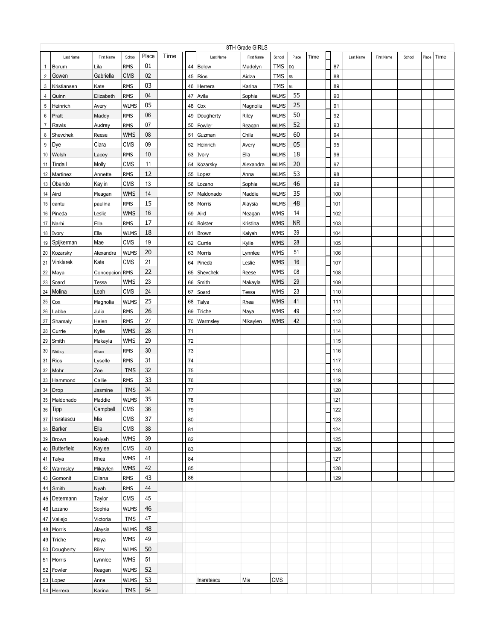| 8TH Grade GIRLS |                |                |             |        |      |    |                |            |             |           |      |     |     |           |            |        |       |      |
|-----------------|----------------|----------------|-------------|--------|------|----|----------------|------------|-------------|-----------|------|-----|-----|-----------|------------|--------|-------|------|
|                 | Last Name      | First Name     | School      | Place  | Time |    | Last Name      | First Name | School      | Place     | Time |     |     | Last Name | First Name | School | Place | Time |
| $\mathbf{1}$    | Borum          | Lila           | <b>RMS</b>  | 01     |      | 44 | <b>Below</b>   | Madelyn    | <b>TMS</b>  | DQ        |      | 87  |     |           |            |        |       |      |
| $\overline{2}$  | Gowen          | Gabriella      | <b>CMS</b>  | 02     |      | 45 | Rios           | Aidza      | <b>TMS</b>  | 58        |      | 88  |     |           |            |        |       |      |
| 3               | Kristiansen    | Kate           | <b>RMS</b>  | 03     |      | 46 | Herrera        | Karina     | <b>TMS</b>  | 54        |      | 89  |     |           |            |        |       |      |
| 4               | Quinn          | Elizabeth      | <b>RMS</b>  | 04     |      | 47 | Avila          | Sophia     | <b>WLMS</b> | 55        |      | 90  |     |           |            |        |       |      |
| 5               | Heinrich       | Avery          | <b>WLMS</b> | 05     |      | 48 | Cox            | Magnolia   | <b>WLMS</b> | 25        |      | 91  |     |           |            |        |       |      |
| 6               | Pratt          | Maddy          | <b>RMS</b>  | 06     |      | 49 | Dougherty      | Riley      | <b>WLMS</b> | 50        |      | 92  |     |           |            |        |       |      |
| $\overline{7}$  | Rawls          | Audrey         | <b>RMS</b>  | 07     |      | 50 | Fowler         | Reagan     | <b>WLMS</b> | 52        |      | 93  |     |           |            |        |       |      |
| 8               | Shevchek       | Reese          | <b>WMS</b>  | 08     |      | 51 | Guzman         | Chila      | <b>WLMS</b> | 60        |      | 94  |     |           |            |        |       |      |
| 9               | Dye            | Clara          | CMS         | 09     |      | 52 | Heinrich       | Avery      | <b>WLMS</b> | 05        |      | 95  |     |           |            |        |       |      |
| 10              | Welsh          | Lacey          | <b>RMS</b>  | 10     |      | 53 | Ivory          | Ella       | <b>WLMS</b> | 18        |      | 96  |     |           |            |        |       |      |
| 11              | Tindall        | Molly          | <b>CMS</b>  | 11     |      | 54 | Kozarsky       | Alexandra  | <b>WLMS</b> | 20        |      | 97  |     |           |            |        |       |      |
| 12              | Martinez       | Annette        | <b>RMS</b>  | 12     |      | 55 | Lopez          | Anna       | <b>WLMS</b> | 53        |      | 98  |     |           |            |        |       |      |
| 13              | Obando         | Kaylin         | CMS         | 13     |      | 56 | Lozano         | Sophia     | <b>WLMS</b> | 46        |      | 99  |     |           |            |        |       |      |
| 14              | Aird           | Meagan         | <b>WMS</b>  | 14     |      | 57 | Maldonado      | Maddie     | <b>WLMS</b> | 35        |      |     | 100 |           |            |        |       |      |
| 15              | cantu          | paulina        | <b>RMS</b>  | 15     |      | 58 | Morris         | Alaysia    | <b>WLMS</b> | 48        |      | 101 |     |           |            |        |       |      |
| 16              | Pineda         | Leslie         | <b>WMS</b>  | 16     |      | 59 | Aird           | Meagan     | <b>WMS</b>  | 14        |      | 102 |     |           |            |        |       |      |
| 17              | Narhi          | Ella           | <b>RMS</b>  | 17     |      | 60 | <b>Bolster</b> | Kristina   | <b>WMS</b>  | <b>NR</b> |      | 103 |     |           |            |        |       |      |
|                 | 18   Ivory     | Ella           | <b>WLMS</b> | 18     |      | 61 | Brown          | Kaiyah     | <b>WMS</b>  | 39        |      | 104 |     |           |            |        |       |      |
| 19              | Spijkerman     | Mae            | CMS         | 19     |      | 62 | Currie         | Kylie      | <b>WMS</b>  | 28        |      |     | 105 |           |            |        |       |      |
| 20              | Kozarsky       | Alexandra      | <b>WLMS</b> | 20     |      | 63 | Morris         | Lynnlee    | <b>WMS</b>  | 51        |      |     | 106 |           |            |        |       |      |
| 21              | Vinklarek      | Kate           | CMS         | 21     |      | 64 | Pineda         | Leslie     | <b>WMS</b>  | 16        |      | 107 |     |           |            |        |       |      |
| 22              | Maya           | Concepcion RMS |             | 22     |      | 65 | Shevchek       | Reese      | <b>WMS</b>  | 08        |      |     | 108 |           |            |        |       |      |
| 23              | Soard          | Tessa          | <b>WMS</b>  | 23     |      | 66 | Smith          | Makayla    | <b>WMS</b>  | 29        |      |     | 109 |           |            |        |       |      |
| 24              | Molina         | Leah           | <b>CMS</b>  | 24     |      | 67 | Soard          | Tessa      | <b>WMS</b>  | 23        |      | 110 |     |           |            |        |       |      |
| 25              | Cox            | Magnolia       | <b>WLMS</b> | 25     |      | 68 | Talya          | Rhea       | <b>WMS</b>  | 41        |      | 111 |     |           |            |        |       |      |
| 26              | Labbe          | Julia          | <b>RMS</b>  | 26     |      | 69 | Triche         | Maya       | WMS         | 49        |      | 112 |     |           |            |        |       |      |
| 27              | Shamaly        | Helen          | <b>RMS</b>  | 27     |      | 70 | Warmsley       | Mikaylen   | <b>WMS</b>  | 42        |      |     | 113 |           |            |        |       |      |
| 28              | Currie         | Kylie          | <b>WMS</b>  | 28     |      | 71 |                |            |             |           |      | 114 |     |           |            |        |       |      |
| 29              | Smith          | Makayla        | <b>WMS</b>  | 29     |      | 72 |                |            |             |           |      |     | 115 |           |            |        |       |      |
| 30              | Whitney        | Allison        | <b>RMS</b>  | 30     |      | 73 |                |            |             |           |      |     | 116 |           |            |        |       |      |
| 31              | Rios           | Lyselle        | <b>RMS</b>  | 31     |      | 74 |                |            |             |           |      | 117 |     |           |            |        |       |      |
| 32              | Mohr           | Zoe            | <b>TMS</b>  | 32     |      | 75 |                |            |             |           |      | 118 |     |           |            |        |       |      |
|                 | 33 Hammond     | Callie         | <b>RMS</b>  | 33     |      | 76 |                |            |             |           |      |     | 119 |           |            |        |       |      |
| 34              | Drop           | Jasmine        | <b>TMS</b>  | 34     |      | 77 |                |            |             |           |      | 120 |     |           |            |        |       |      |
|                 | 35   Maldonado | Maddie         | <b>WLMS</b> | 35     |      | 78 |                |            |             |           |      | 121 |     |           |            |        |       |      |
|                 | 36 Tipp        | Campbell       | <b>CMS</b>  | $36\,$ |      | 79 |                |            |             |           |      |     | 122 |           |            |        |       |      |
|                 | 37 Insratescu  | Mia            | CMS         | 37     |      | 80 |                |            |             |           |      |     | 123 |           |            |        |       |      |
|                 | 38 Barker      | Ella           | CMS         | 38     |      | 81 |                |            |             |           |      | 124 |     |           |            |        |       |      |
|                 | 39 Brown       | Kaiyah         | <b>WMS</b>  | 39     |      | 82 |                |            |             |           |      |     | 125 |           |            |        |       |      |
|                 | 40 Butterfield | Kaylee         | CMS         | 40     |      | 83 |                |            |             |           |      | 126 |     |           |            |        |       |      |
|                 | 41 Talya       | Rhea           | <b>WMS</b>  | 41     |      | 84 |                |            |             |           |      | 127 |     |           |            |        |       |      |
|                 | 42 Warmsley    | Mikaylen       | <b>WMS</b>  | 42     |      | 85 |                |            |             |           |      | 128 |     |           |            |        |       |      |
|                 | 43 Gomonit     | Eliana         | <b>RMS</b>  | 43     |      | 86 |                |            |             |           |      | 129 |     |           |            |        |       |      |
|                 | 44 Smith       | Nyah           | <b>RMS</b>  | 44     |      |    |                |            |             |           |      |     |     |           |            |        |       |      |
|                 | 45 Determann   | Taylor         | <b>CMS</b>  | 45     |      |    |                |            |             |           |      |     |     |           |            |        |       |      |
|                 | 46 Lozano      | Sophia         | <b>WLMS</b> | 46     |      |    |                |            |             |           |      |     |     |           |            |        |       |      |
|                 | 47 Vallejo     | Victoria       | <b>TMS</b>  | 47     |      |    |                |            |             |           |      |     |     |           |            |        |       |      |
|                 | 48 Morris      | Alaysia        | <b>WLMS</b> | 48     |      |    |                |            |             |           |      |     |     |           |            |        |       |      |
|                 | 49 Triche      | Maya           | <b>WMS</b>  | 49     |      |    |                |            |             |           |      |     |     |           |            |        |       |      |
|                 | 50 Dougherty   | Riley          | <b>WLMS</b> | 50     |      |    |                |            |             |           |      |     |     |           |            |        |       |      |
|                 | 51 Morris      | Lynnlee        | <b>WMS</b>  | 51     |      |    |                |            |             |           |      |     |     |           |            |        |       |      |
|                 | 52 Fowler      | Reagan         | <b>WLMS</b> | 52     |      |    |                |            |             |           |      |     |     |           |            |        |       |      |
|                 | 53 Lopez       | Anna           | <b>WLMS</b> | 53     |      |    | Insratescu     | Mia        | CMS         |           |      |     |     |           |            |        |       |      |
|                 | 54 Herrera     | Karina         | <b>TMS</b>  | 54     |      |    |                |            |             |           |      |     |     |           |            |        |       |      |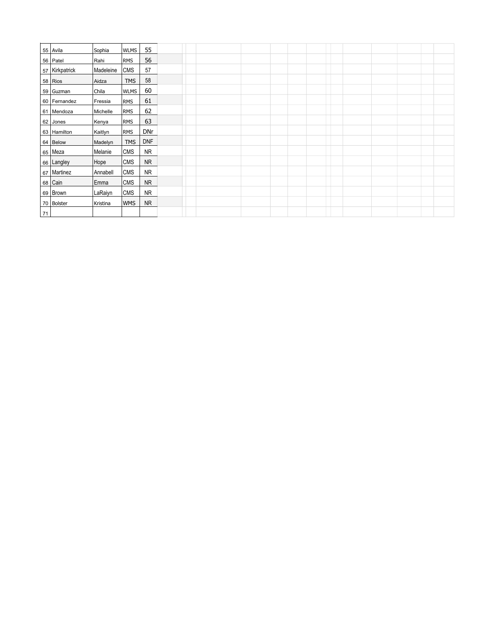|    | 55 Avila       | Sophia    | <b>WLMS</b> | 55         |  |  |  |  |  |  |  |
|----|----------------|-----------|-------------|------------|--|--|--|--|--|--|--|
|    | 56 Patel       | Rahi      | <b>RMS</b>  | 56         |  |  |  |  |  |  |  |
|    | 57 Kirkpatrick | Madeleine | <b>CMS</b>  | 57         |  |  |  |  |  |  |  |
|    | 58 Rios        | Aidza     | <b>TMS</b>  | 58         |  |  |  |  |  |  |  |
|    | 59 Guzman      | Chila     | <b>WLMS</b> | 60         |  |  |  |  |  |  |  |
|    | 60 Fernandez   | Fressia   | <b>RMS</b>  | 61         |  |  |  |  |  |  |  |
|    | 61 Mendoza     | Michelle  | <b>RMS</b>  | 62         |  |  |  |  |  |  |  |
|    | 62 Jones       | Kenya     | RMS         | 63         |  |  |  |  |  |  |  |
|    | 63 Hamilton    | Kaitlyn   | <b>RMS</b>  | <b>DNr</b> |  |  |  |  |  |  |  |
|    | 64 Below       | Madelyn   | <b>TMS</b>  | <b>DNF</b> |  |  |  |  |  |  |  |
|    | 65 Meza        | Melanie   | <b>CMS</b>  | <b>NR</b>  |  |  |  |  |  |  |  |
|    | 66 Langley     | Hope      | CMS         | <b>NR</b>  |  |  |  |  |  |  |  |
|    | 67 Martinez    | Annabell  | <b>CMS</b>  | <b>NR</b>  |  |  |  |  |  |  |  |
|    | 68 Cain        | Emma      | CMS         | <b>NR</b>  |  |  |  |  |  |  |  |
|    | 69 Brown       | LaRaiyn   | <b>CMS</b>  | <b>NR</b>  |  |  |  |  |  |  |  |
|    | 70 Bolster     | Kristina  | <b>WMS</b>  | <b>NR</b>  |  |  |  |  |  |  |  |
| 71 |                |           |             |            |  |  |  |  |  |  |  |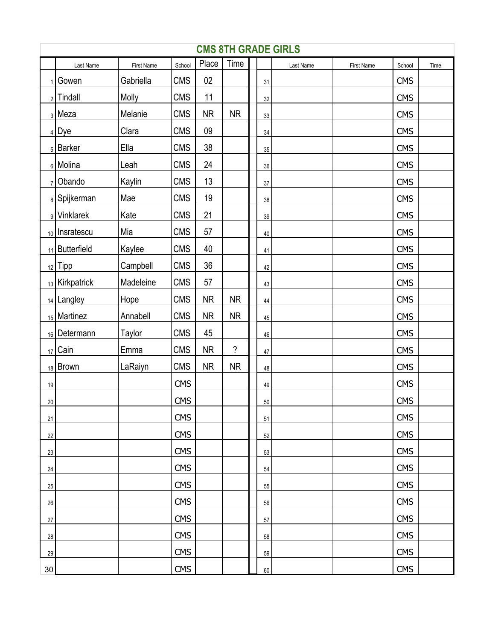|                |                |            |            |           |                          |        | <b>CMS 8TH GRADE GIRLS</b> |            |            |      |
|----------------|----------------|------------|------------|-----------|--------------------------|--------|----------------------------|------------|------------|------|
|                | Last Name      | First Name | School     | Place     | Time                     |        | Last Name                  | First Name | School     | Time |
| 1 <sup>1</sup> | Gowen          | Gabriella  | <b>CMS</b> | 02        |                          | 31     |                            |            | <b>CMS</b> |      |
|                | $2$ Tindall    | Molly      | <b>CMS</b> | 11        |                          | 32     |                            |            | <b>CMS</b> |      |
|                | 3 Meza         | Melanie    | <b>CMS</b> | <b>NR</b> | <b>NR</b>                | 33     |                            |            | <b>CMS</b> |      |
|                | $4$ Dye        | Clara      | <b>CMS</b> | 09        |                          | 34     |                            |            | <b>CMS</b> |      |
|                | 5 Barker       | Ella       | <b>CMS</b> | 38        |                          | 35     |                            |            | <b>CMS</b> |      |
|                | 6 Molina       | Leah       | <b>CMS</b> | 24        |                          | 36     |                            |            | <b>CMS</b> |      |
|                | 7 Obando       | Kaylin     | <b>CMS</b> | 13        |                          | 37     |                            |            | <b>CMS</b> |      |
|                | 8 Spijkerman   | Mae        | <b>CMS</b> | 19        |                          | 38     |                            |            | <b>CMS</b> |      |
|                | 9 Vinklarek    | Kate       | <b>CMS</b> | 21        |                          | 39     |                            |            | <b>CMS</b> |      |
|                | 10 Insratescu  | Mia        | <b>CMS</b> | 57        |                          | 40     |                            |            | <b>CMS</b> |      |
|                | 11 Butterfield | Kaylee     | <b>CMS</b> | 40        |                          | 41     |                            |            | <b>CMS</b> |      |
|                | $_{12}$ Tipp   | Campbell   | <b>CMS</b> | 36        |                          | 42     |                            |            | <b>CMS</b> |      |
|                | 13 Kirkpatrick | Madeleine  | <b>CMS</b> | 57        |                          | 43     |                            |            | <b>CMS</b> |      |
|                | 14 Langley     | Hope       | <b>CMS</b> | <b>NR</b> | <b>NR</b>                | $44\,$ |                            |            | <b>CMS</b> |      |
|                | 15 Martinez    | Annabell   | <b>CMS</b> | <b>NR</b> | <b>NR</b>                | 45     |                            |            | <b>CMS</b> |      |
|                | 16 Determann   | Taylor     | <b>CMS</b> | 45        |                          | 46     |                            |            | <b>CMS</b> |      |
|                | 17 Cain        | Emma       | <b>CMS</b> | <b>NR</b> | $\overline{\phantom{a}}$ | $47\,$ |                            |            | <b>CMS</b> |      |
|                | 18 Brown       | LaRaiyn    | <b>CMS</b> | <b>NR</b> | <b>NR</b>                | 48     |                            |            | <b>CMS</b> |      |
| 19             |                |            | <b>CMS</b> |           |                          | 49     |                            |            | <b>CMS</b> |      |
| $20\,$         |                |            | <b>CMS</b> |           |                          | $50\,$ |                            |            | <b>CMS</b> |      |
| 21             |                |            | <b>CMS</b> |           |                          | 51     |                            |            | <b>CMS</b> |      |
| 22             |                |            | <b>CMS</b> |           |                          | 52     |                            |            | <b>CMS</b> |      |
| 23             |                |            | <b>CMS</b> |           |                          | 53     |                            |            | <b>CMS</b> |      |
| 24             |                |            | <b>CMS</b> |           |                          | 54     |                            |            | <b>CMS</b> |      |
| 25             |                |            | <b>CMS</b> |           |                          | 55     |                            |            | <b>CMS</b> |      |
| 26             |                |            | <b>CMS</b> |           |                          | 56     |                            |            | <b>CMS</b> |      |
| 27             |                |            | <b>CMS</b> |           |                          | $57\,$ |                            |            | <b>CMS</b> |      |
| 28             |                |            | <b>CMS</b> |           |                          | 58     |                            |            | <b>CMS</b> |      |
| 29             |                |            | <b>CMS</b> |           |                          | 59     |                            |            | <b>CMS</b> |      |
| 30             |                |            | <b>CMS</b> |           |                          | 60     |                            |            | <b>CMS</b> |      |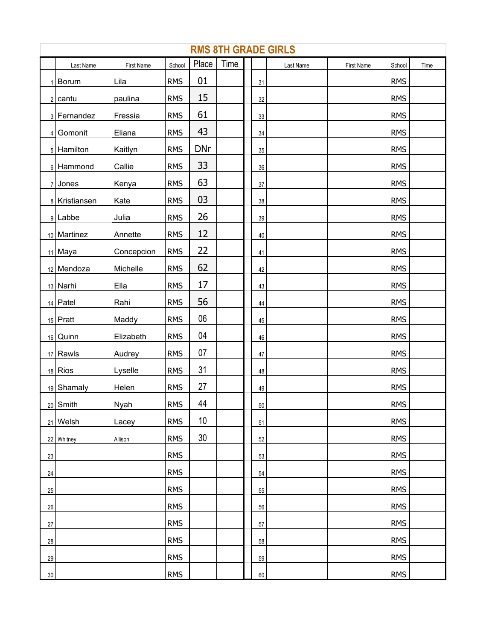|        | <b>RMS 8TH GRADE GIRLS</b> |             |            |                 |      |  |        |           |            |            |      |  |  |
|--------|----------------------------|-------------|------------|-----------------|------|--|--------|-----------|------------|------------|------|--|--|
|        | Last Name                  | First Name  | School     | Place           | Time |  |        | Last Name | First Name | School     | Time |  |  |
|        | $1$ Borum                  | Lila        | <b>RMS</b> | 01              |      |  | 31     |           |            | <b>RMS</b> |      |  |  |
|        | $2 $ cantu                 | paulina     | <b>RMS</b> | 15              |      |  | 32     |           |            | <b>RMS</b> |      |  |  |
|        | 3 Fernandez                | Fressia     | <b>RMS</b> | 61              |      |  | 33     |           |            | <b>RMS</b> |      |  |  |
|        | $4$ Gomonit                | Eliana      | <b>RMS</b> | 43              |      |  | 34     |           |            | <b>RMS</b> |      |  |  |
|        | $5$ Hamilton               | Kaitlyn     | <b>RMS</b> | <b>DNr</b>      |      |  | 35     |           |            | <b>RMS</b> |      |  |  |
|        | $6$ Hammond                | Callie      | <b>RMS</b> | 33              |      |  | 36     |           |            | <b>RMS</b> |      |  |  |
|        | $7$ Jones                  | Kenya       | <b>RMS</b> | 63              |      |  | 37     |           |            | <b>RMS</b> |      |  |  |
|        | 8 Kristiansen              | Kate        | <b>RMS</b> | 03              |      |  | 38     |           |            | <b>RMS</b> |      |  |  |
|        | 9 Labbe                    | Julia       | <b>RMS</b> | 26              |      |  | 39     |           |            | <b>RMS</b> |      |  |  |
|        | 10 Martinez                | Annette     | <b>RMS</b> | 12              |      |  | 40     |           |            | <b>RMS</b> |      |  |  |
|        | $11$ Maya                  | Concepcion  | <b>RMS</b> | 22              |      |  | 41     |           |            | <b>RMS</b> |      |  |  |
|        | $12$ Mendoza               | Michelle    | <b>RMS</b> | 62              |      |  | 42     |           |            | <b>RMS</b> |      |  |  |
|        | $13$ Narhi                 | Ella        | <b>RMS</b> | 17              |      |  | 43     |           |            | <b>RMS</b> |      |  |  |
|        | $14$ Patel                 | Rahi        | <b>RMS</b> | 56              |      |  | 44     |           |            | <b>RMS</b> |      |  |  |
|        | $15$ Pratt                 | Maddy       | <b>RMS</b> | 06              |      |  | 45     |           |            | <b>RMS</b> |      |  |  |
|        | $16$ Quinn                 | Elizabeth   | <b>RMS</b> | 04              |      |  | 46     |           |            | <b>RMS</b> |      |  |  |
|        | $17$ Rawls                 | Audrey      | <b>RMS</b> | 07              |      |  | 47     |           |            | <b>RMS</b> |      |  |  |
|        | $18$ Rios                  | Lyselle     | <b>RMS</b> | 31              |      |  | 48     |           |            | <b>RMS</b> |      |  |  |
|        | 19 Shamaly                 | Helen       | <b>RMS</b> | 27              |      |  | 49     |           |            | <b>RMS</b> |      |  |  |
|        | $20$ Smith                 | <b>Nyah</b> | <b>RMS</b> | 44              |      |  | $50\,$ |           |            | <b>RMS</b> |      |  |  |
| 21     | Welsh                      | Lacey       | <b>RMS</b> | 10              |      |  | 51     |           |            | <b>RMS</b> |      |  |  |
|        | 22 Whitney                 | Allison     | <b>RMS</b> | 30 <sup>°</sup> |      |  | 52     |           |            | <b>RMS</b> |      |  |  |
| 23     |                            |             | <b>RMS</b> |                 |      |  | 53     |           |            | <b>RMS</b> |      |  |  |
| 24     |                            |             | <b>RMS</b> |                 |      |  | 54     |           |            | <b>RMS</b> |      |  |  |
| $25\,$ |                            |             | <b>RMS</b> |                 |      |  | 55     |           |            | <b>RMS</b> |      |  |  |
| $26\,$ |                            |             | <b>RMS</b> |                 |      |  | 56     |           |            | <b>RMS</b> |      |  |  |
| 27     |                            |             | <b>RMS</b> |                 |      |  | 57     |           |            | <b>RMS</b> |      |  |  |
| 28     |                            |             | <b>RMS</b> |                 |      |  | 58     |           |            | <b>RMS</b> |      |  |  |
| 29     |                            |             | <b>RMS</b> |                 |      |  | 59     |           |            | <b>RMS</b> |      |  |  |
| $30\,$ |                            |             | <b>RMS</b> |                 |      |  | 60     |           |            | <b>RMS</b> |      |  |  |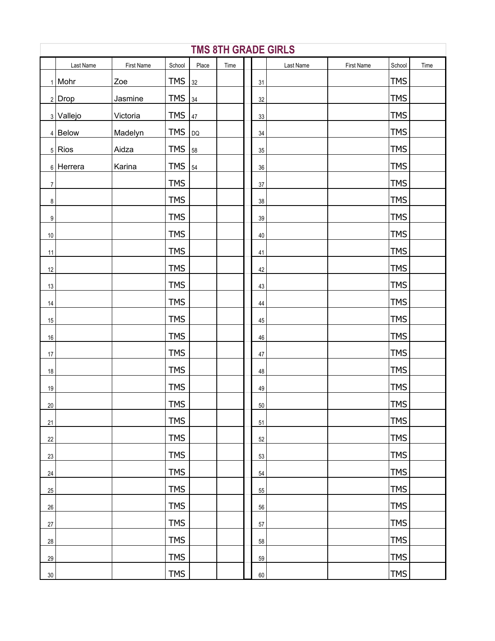| <b>TMS 8TH GRADE GIRLS</b> |             |            |              |       |      |        |           |            |            |      |  |  |
|----------------------------|-------------|------------|--------------|-------|------|--------|-----------|------------|------------|------|--|--|
|                            | Last Name   | First Name | School       | Place | Time |        | Last Name | First Name | School     | Time |  |  |
|                            | $1$ Mohr    | Zoe        | TMS $32$     |       |      | 31     |           |            | <b>TMS</b> |      |  |  |
|                            | $2$ Drop    | Jasmine    | TMS $34$     |       |      | 32     |           |            | <b>TMS</b> |      |  |  |
|                            | 3 Vallejo   | Victoria   | <b>TMS</b>   | 47    |      | $33\,$ |           |            | <b>TMS</b> |      |  |  |
|                            | $4$ Below   | Madelyn    | <b>TMS</b>   | DQ    |      | 34     |           |            | <b>TMS</b> |      |  |  |
|                            | $5$ Rios    | Aidza      | TMS $38$     |       |      | $35\,$ |           |            | <b>TMS</b> |      |  |  |
|                            | $6$ Herrera | Karina     | TMS $ _{54}$ |       |      | $36\,$ |           |            | <b>TMS</b> |      |  |  |
| $\overline{7}$             |             |            | <b>TMS</b>   |       |      | $37\,$ |           |            | <b>TMS</b> |      |  |  |
| 8                          |             |            | <b>TMS</b>   |       |      | $38\,$ |           |            | <b>TMS</b> |      |  |  |
| 9 <sup>1</sup>             |             |            | <b>TMS</b>   |       |      | $39\,$ |           |            | <b>TMS</b> |      |  |  |
| $10\,$                     |             |            | <b>TMS</b>   |       |      | 40     |           |            | <b>TMS</b> |      |  |  |
| 11                         |             |            | <b>TMS</b>   |       |      | 41     |           |            | <b>TMS</b> |      |  |  |
| 12                         |             |            | <b>TMS</b>   |       |      | 42     |           |            | <b>TMS</b> |      |  |  |
| 13                         |             |            | <b>TMS</b>   |       |      | 43     |           |            | <b>TMS</b> |      |  |  |
| 14                         |             |            | <b>TMS</b>   |       |      | 44     |           |            | <b>TMS</b> |      |  |  |
| 15                         |             |            | <b>TMS</b>   |       |      | 45     |           |            | <b>TMS</b> |      |  |  |
| $16\,$                     |             |            | <b>TMS</b>   |       |      | 46     |           |            | <b>TMS</b> |      |  |  |
| 17                         |             |            | <b>TMS</b>   |       |      | 47     |           |            | <b>TMS</b> |      |  |  |
| 18                         |             |            | <b>TMS</b>   |       |      | 48     |           |            | <b>TMS</b> |      |  |  |
| 19                         |             |            | <b>TMS</b>   |       |      | 49     |           |            | <b>TMS</b> |      |  |  |
| 20 <sup>°</sup>            |             |            | <b>TMS</b>   |       |      | $50\,$ |           |            | <b>TMS</b> |      |  |  |
| 21                         |             |            | <b>TMS</b>   |       |      | 51     |           |            | <b>TMS</b> |      |  |  |
| 22                         |             |            | <b>TMS</b>   |       |      | 52     |           |            | <b>TMS</b> |      |  |  |
| 23                         |             |            | <b>TMS</b>   |       |      | 53     |           |            | <b>TMS</b> |      |  |  |
| 24                         |             |            | <b>TMS</b>   |       |      | 54     |           |            | <b>TMS</b> |      |  |  |
| 25                         |             |            | <b>TMS</b>   |       |      | 55     |           |            | <b>TMS</b> |      |  |  |
| 26                         |             |            | <b>TMS</b>   |       |      | 56     |           |            | <b>TMS</b> |      |  |  |
| $27\,$                     |             |            | <b>TMS</b>   |       |      | 57     |           |            | <b>TMS</b> |      |  |  |
| $28\,$                     |             |            | <b>TMS</b>   |       |      | 58     |           |            | <b>TMS</b> |      |  |  |
| 29                         |             |            | <b>TMS</b>   |       |      | 59     |           |            | <b>TMS</b> |      |  |  |
| $30\,$                     |             |            | <b>TMS</b>   |       |      | 60     |           |            | <b>TMS</b> |      |  |  |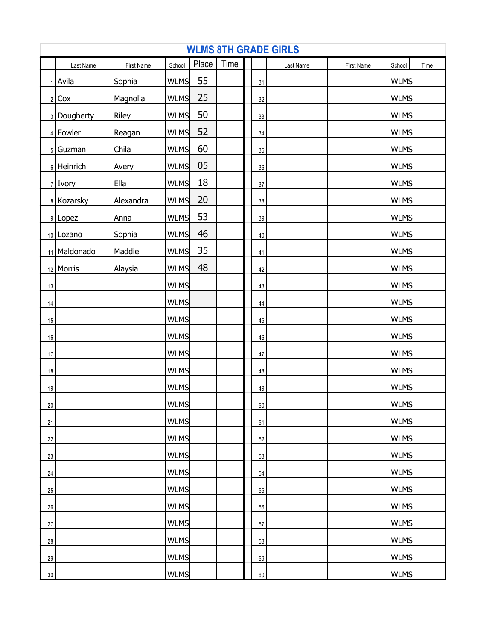|                 | <b>WLMS 8TH GRADE GIRLS</b> |            |             |       |      |  |    |           |            |                |  |  |  |
|-----------------|-----------------------------|------------|-------------|-------|------|--|----|-----------|------------|----------------|--|--|--|
|                 | Last Name                   | First Name | School      | Place | Time |  |    | Last Name | First Name | School<br>Time |  |  |  |
|                 | 1 Avila                     | Sophia     | <b>WLMS</b> | 55    |      |  | 31 |           |            | <b>WLMS</b>    |  |  |  |
|                 | $2$ Cox                     | Magnolia   | <b>WLMS</b> | 25    |      |  | 32 |           |            | <b>WLMS</b>    |  |  |  |
|                 | 3 Dougherty                 | Riley      | <b>WLMS</b> | 50    |      |  | 33 |           |            | <b>WLMS</b>    |  |  |  |
|                 | $4$ Fowler                  | Reagan     | <b>WLMS</b> | 52    |      |  | 34 |           |            | <b>WLMS</b>    |  |  |  |
|                 | 5 Guzman                    | Chila      | <b>WLMS</b> | 60    |      |  | 35 |           |            | <b>WLMS</b>    |  |  |  |
|                 | $6$ Heinrich                | Avery      | <b>WLMS</b> | 05    |      |  | 36 |           |            | <b>WLMS</b>    |  |  |  |
|                 | $7$ Ivory                   | Ella       | <b>WLMS</b> | 18    |      |  | 37 |           |            | <b>WLMS</b>    |  |  |  |
|                 | 8 Kozarsky                  | Alexandra  | <b>WLMS</b> | 20    |      |  | 38 |           |            | <b>WLMS</b>    |  |  |  |
|                 | $9$   Lopez                 | Anna       | <b>WLMS</b> | 53    |      |  | 39 |           |            | <b>WLMS</b>    |  |  |  |
|                 | 10 Lozano                   | Sophia     | <b>WLMS</b> | 46    |      |  | 40 |           |            | <b>WLMS</b>    |  |  |  |
|                 | 11 Maldonado                | Maddie     | <b>WLMS</b> | 35    |      |  | 41 |           |            | <b>WLMS</b>    |  |  |  |
|                 | $12$ Morris                 | Alaysia    | <b>WLMS</b> | 48    |      |  | 42 |           |            | <b>WLMS</b>    |  |  |  |
| 13              |                             |            | <b>WLMS</b> |       |      |  | 43 |           |            | <b>WLMS</b>    |  |  |  |
| $14$            |                             |            | <b>WLMS</b> |       |      |  | 44 |           |            | <b>WLMS</b>    |  |  |  |
| 15              |                             |            | <b>WLMS</b> |       |      |  | 45 |           |            | <b>WLMS</b>    |  |  |  |
| $16\,$          |                             |            | <b>WLMS</b> |       |      |  | 46 |           |            | <b>WLMS</b>    |  |  |  |
| $17\,$          |                             |            | <b>WLMS</b> |       |      |  | 47 |           |            | <b>WLMS</b>    |  |  |  |
| $18\,$          |                             |            | <b>WLMS</b> |       |      |  | 48 |           |            | <b>WLMS</b>    |  |  |  |
| $19$            |                             |            | <b>WLMS</b> |       |      |  | 49 |           |            | <b>WLMS</b>    |  |  |  |
| $20\,$          |                             |            | <b>WLMS</b> |       |      |  | 50 |           |            | <b>WLMS</b>    |  |  |  |
| 21              |                             |            | <b>WLMS</b> |       |      |  | 51 |           |            | <b>WLMS</b>    |  |  |  |
| 22              |                             |            | <b>WLMS</b> |       |      |  | 52 |           |            | <b>WLMS</b>    |  |  |  |
| 23              |                             |            | <b>WLMS</b> |       |      |  | 53 |           |            | <b>WLMS</b>    |  |  |  |
| 24              |                             |            | <b>WLMS</b> |       |      |  | 54 |           |            | <b>WLMS</b>    |  |  |  |
| 25              |                             |            | <b>WLMS</b> |       |      |  | 55 |           |            | <b>WLMS</b>    |  |  |  |
| 26              |                             |            | <b>WLMS</b> |       |      |  | 56 |           |            | <b>WLMS</b>    |  |  |  |
| $27\,$          |                             |            | <b>WLMS</b> |       |      |  | 57 |           |            | <b>WLMS</b>    |  |  |  |
| 28              |                             |            | <b>WLMS</b> |       |      |  | 58 |           |            | <b>WLMS</b>    |  |  |  |
| 29              |                             |            | <b>WLMS</b> |       |      |  | 59 |           |            | <b>WLMS</b>    |  |  |  |
| 30 <sup>°</sup> |                             |            | <b>WLMS</b> |       |      |  | 60 |           |            | <b>WLMS</b>    |  |  |  |